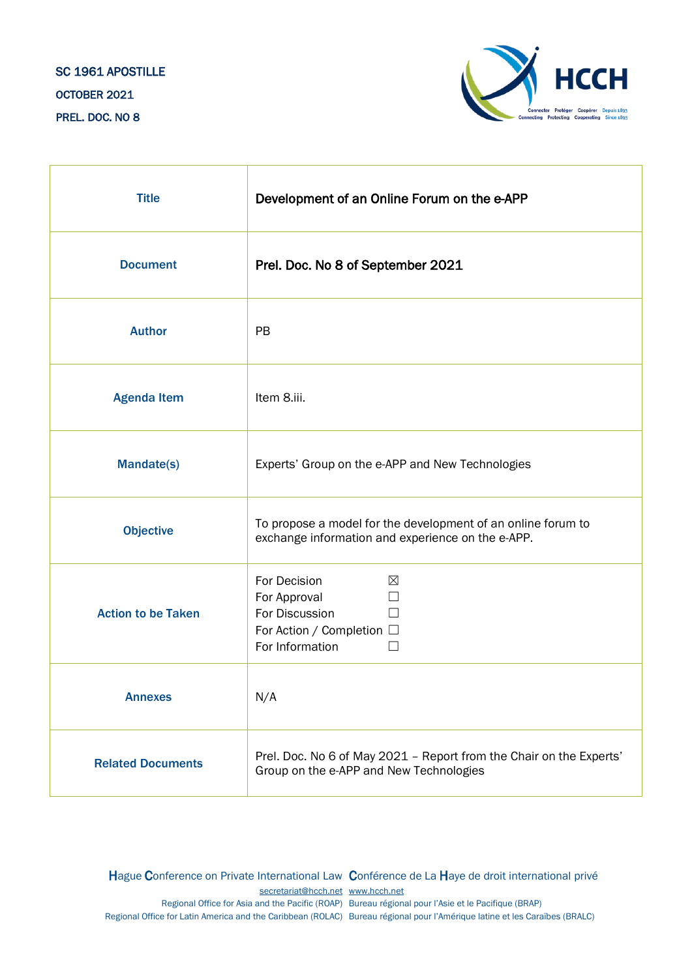## SC 1961 APOSTILLE OCTOBER 2021 PREL. DOC. NO 8



| <b>Title</b>              | Development of an Online Forum on the e-APP                                                                         |
|---------------------------|---------------------------------------------------------------------------------------------------------------------|
| <b>Document</b>           | Prel. Doc. No 8 of September 2021                                                                                   |
| <b>Author</b>             | PB                                                                                                                  |
| <b>Agenda Item</b>        | Item 8.iii.                                                                                                         |
| Mandate(s)                | Experts' Group on the e-APP and New Technologies                                                                    |
| <b>Objective</b>          | To propose a model for the development of an online forum to<br>exchange information and experience on the e-APP.   |
| <b>Action to be Taken</b> | For Decision<br>⊠<br>For Approval<br>For Discussion<br>For Action / Completion □<br>For Information<br>$\mathsf{L}$ |
| <b>Annexes</b>            | N/A                                                                                                                 |
| <b>Related Documents</b>  | Prel. Doc. No 6 of May 2021 - Report from the Chair on the Experts'<br>Group on the e-APP and New Technologies      |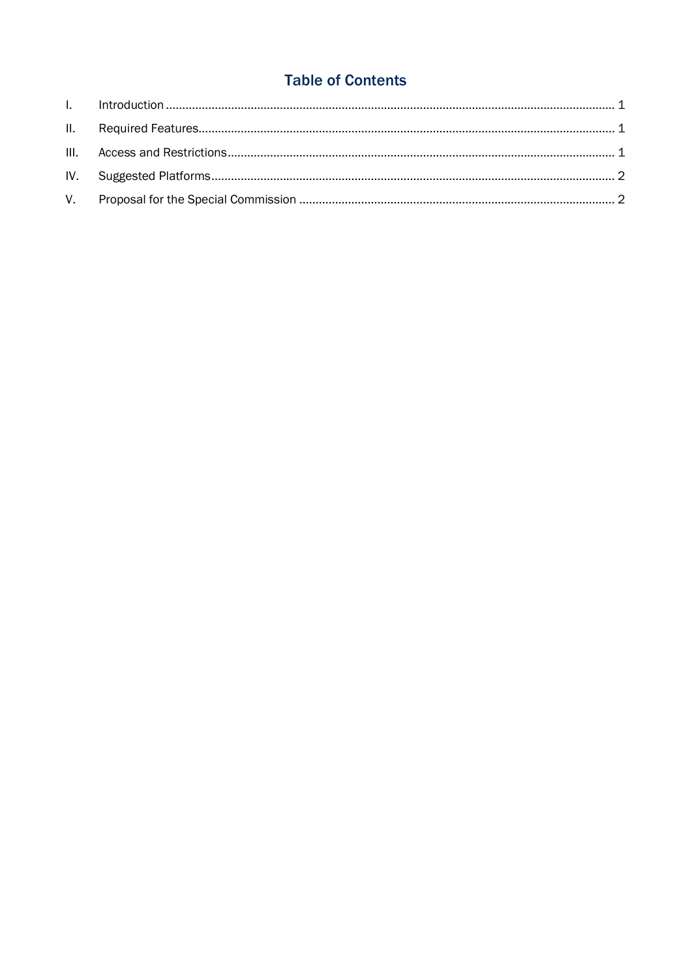## **Table of Contents**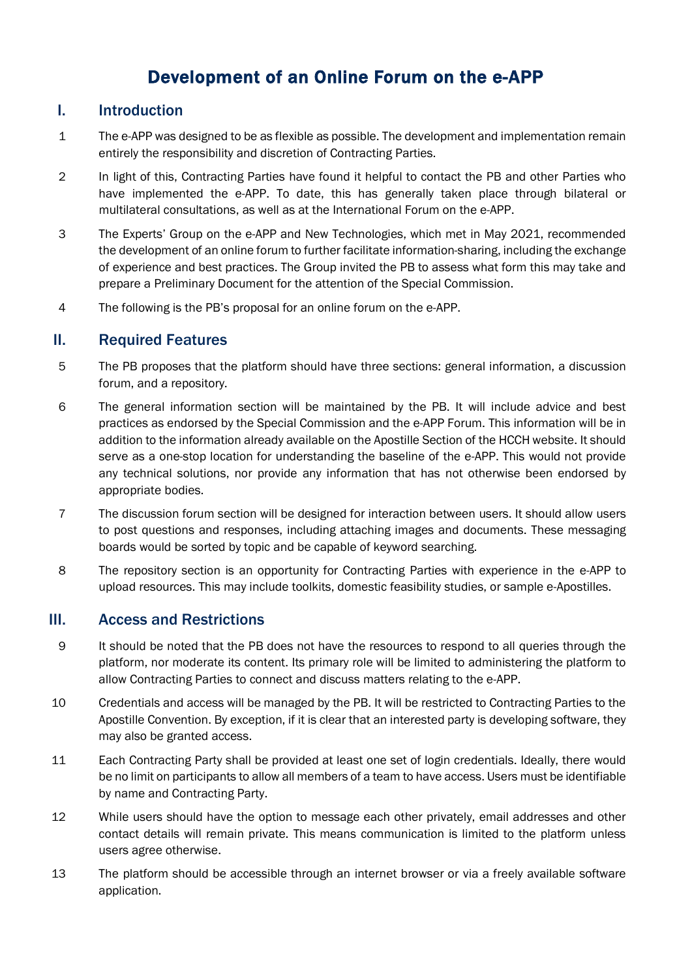# Development of an Online Forum on the e-APP

#### <span id="page-2-0"></span>I. Introduction

- 1 The e-APP was designed to be as flexible as possible. The development and implementation remain entirely the responsibility and discretion of Contracting Parties.
- 2 In light of this, Contracting Parties have found it helpful to contact the PB and other Parties who have implemented the e-APP. To date, this has generally taken place through bilateral or multilateral consultations, as well as at the International Forum on the e-APP.
- 3 The Experts' Group on the e-APP and New Technologies, which met in May 2021, recommended the development of an online forum to further facilitate information-sharing, including the exchange of experience and best practices. The Group invited the PB to assess what form this may take and prepare a Preliminary Document for the attention of the Special Commission.
- 4 The following is the PB's proposal for an online forum on the e-APP.

#### <span id="page-2-1"></span>II. Required Features

- 5 The PB proposes that the platform should have three sections: general information, a discussion forum, and a repository.
- 6 The general information section will be maintained by the PB. It will include advice and best practices as endorsed by the Special Commission and the e-APP Forum. This information will be in addition to the information already available on the Apostille Section of the HCCH website. It should serve as a one-stop location for understanding the baseline of the e-APP. This would not provide any technical solutions, nor provide any information that has not otherwise been endorsed by appropriate bodies.
- 7 The discussion forum section will be designed for interaction between users. It should allow users to post questions and responses, including attaching images and documents. These messaging boards would be sorted by topic and be capable of keyword searching.
- 8 The repository section is an opportunity for Contracting Parties with experience in the e-APP to upload resources. This may include toolkits, domestic feasibility studies, or sample e-Apostilles.

#### <span id="page-2-2"></span>III. Access and Restrictions

- 9 It should be noted that the PB does not have the resources to respond to all queries through the platform, nor moderate its content. Its primary role will be limited to administering the platform to allow Contracting Parties to connect and discuss matters relating to the e-APP.
- 10 Credentials and access will be managed by the PB. It will be restricted to Contracting Parties to the Apostille Convention. By exception, if it is clear that an interested party is developing software, they may also be granted access.
- 11 Each Contracting Party shall be provided at least one set of login credentials. Ideally, there would be no limit on participants to allow all members of a team to have access. Users must be identifiable by name and Contracting Party.
- 12 While users should have the option to message each other privately, email addresses and other contact details will remain private. This means communication is limited to the platform unless users agree otherwise.
- 13 The platform should be accessible through an internet browser or via a freely available software application.